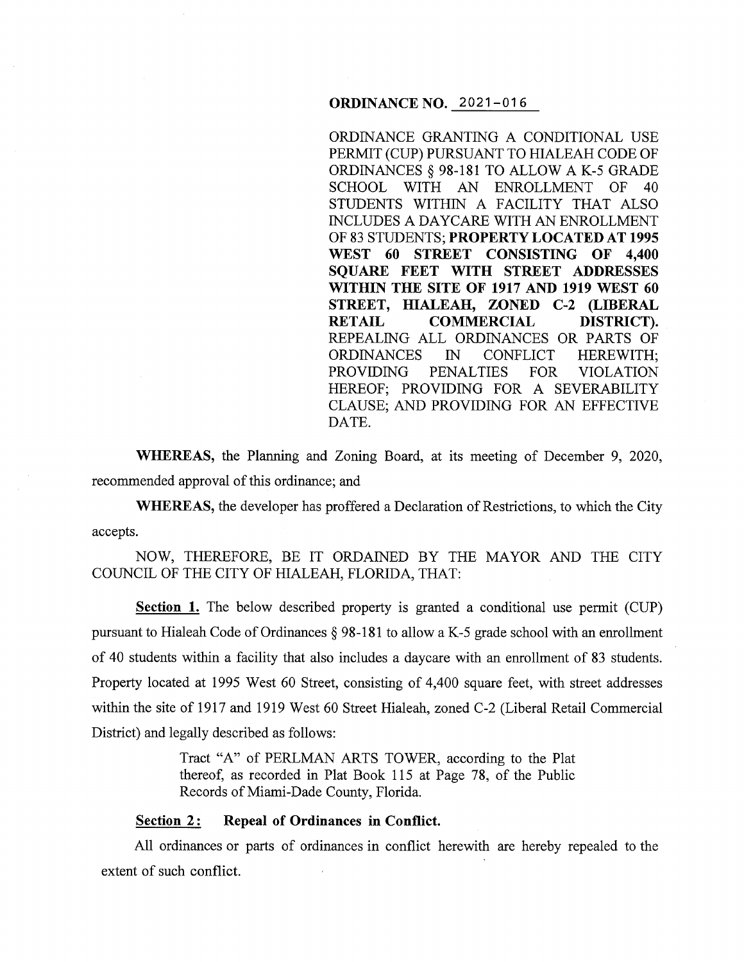#### **ORDINANCE NO.** 2021-016

ORDINANCE GRANTING A CONDITIONAL USE PERMIT (CUP) PURSUANT TO HIALEAH CODE OF ORDINANCES§ 98-181 TO ALLOW A K-5 GRADE SCHOOL WITH AN ENROLLMENT OF 40 STUDENTS WITHIN A FACILITY THAT ALSO INCLUDES A DAYCARE WITH AN ENROLLMENT OF 83 STUDENTS; **PROPERTY LOCATED AT 1995 WEST 60 STREET CONSISTING OF 4,400 SQUARE FEET WITH STREET ADDRESSES WITHIN THE SITE OF 1917 AND 1919 WEST 60 STREET, HIALEAH, ZONED** C-2 **(LIBERAL RETAIL COMMERCIAL DISTRICT).**  REPEALING ALL ORDINANCES OR PARTS OF ORDINANCES IN CONFLICT HEREWITH; PROVIDING PENALTIES FOR VIOLATION HEREOF; PROVIDING FOR A SEVERABILITY CLAUSE; AND PROVIDING FOR AN EFFECTIVE DATE.

**WHEREAS,** the Planning and Zoning Board, at its meeting of December 9, 2020, recommended approval of this ordinance; and

**WHEREAS,** the developer has proffered a Declaration of Restrictions, to which the City accepts.

NOW, THEREFORE, BE IT ORDAINED BY THE MAYOR AND THE CITY COUNCIL OF THE CITY OF HIALEAH, FLORIDA, THAT:

**Section 1.** The below described property is granted a conditional use permit (CUP) pursuant to Hialeah Code of Ordinances§ 98-181 to allow a K-5 grade school with an enrollment of 40 students within a facility that also includes a daycare with an enrollment of 83 students. Property located at 1995 West 60 Street, consisting of 4,400 square feet, with street addresses within the site of 1917 and 1919 West 60 Street Hialeah, zoned C-2 (Liberal Retail Commercial District) and legally described as follows:

> Tract "A" of PERLMAN ARTS TOWER, according to the Plat thereof, as recorded in Plat Book 115 at Page 78, of the Public Records of Miami-Dade County, Florida.

#### **<u>Section 2:</u>** Repeal of Ordinances in Conflict.

All ordinances or parts of ordinances in conflict herewith are hereby repealed to the extent of such conflict.